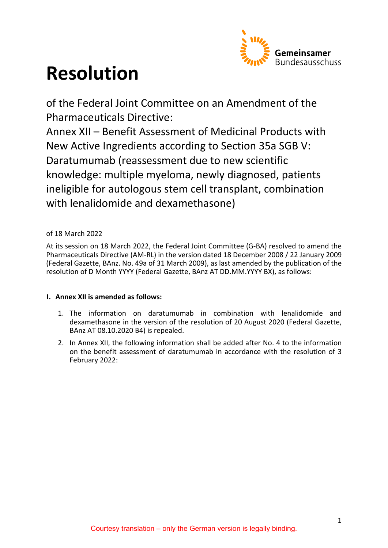

# **Resolution**

of the Federal Joint Committee on an Amendment of the Pharmaceuticals Directive:

Annex XII – Benefit Assessment of Medicinal Products with New Active Ingredients according to Section 35a SGB V: Daratumumab (reassessment due to new scientific knowledge: multiple myeloma, newly diagnosed, patients ineligible for autologous stem cell transplant, combination with lenalidomide and dexamethasone)

## of 18 March 2022

At its session on 18 March 2022, the Federal Joint Committee (G-BA) resolved to amend the Pharmaceuticals Directive (AM-RL) in the version dated 18 December 2008 / 22 January 2009 (Federal Gazette, BAnz. No. 49a of 31 March 2009), as last amended by the publication of the resolution of D Month YYYY (Federal Gazette, BAnz AT DD.MM.YYYY BX), as follows:

## **I. Annex XII is amended as follows:**

- 1. The information on daratumumab in combination with lenalidomide and dexamethasone in the version of the resolution of 20 August 2020 (Federal Gazette, BAnz AT 08.10.2020 B4) is repealed.
- 2. In Annex XII, the following information shall be added after No. 4 to the information on the benefit assessment of daratumumab in accordance with the resolution of 3 February 2022: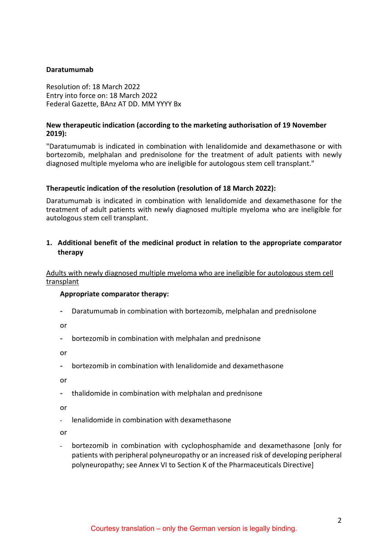## **Daratumumab**

Resolution of: 18 March 2022 Entry into force on: 18 March 2022 Federal Gazette, BAnz AT DD. MM YYYY Bx

## **New therapeutic indication (according to the marketing authorisation of 19 November 2019):**

"Daratumumab is indicated in combination with lenalidomide and dexamethasone or with bortezomib, melphalan and prednisolone for the treatment of adult patients with newly diagnosed multiple myeloma who are ineligible for autologous stem cell transplant."

## **Therapeutic indication of the resolution (resolution of 18 March 2022):**

Daratumumab is indicated in combination with lenalidomide and dexamethasone for the treatment of adult patients with newly diagnosed multiple myeloma who are ineligible for autologous stem cell transplant.

## **1. Additional benefit of the medicinal product in relation to the appropriate comparator therapy**

Adults with newly diagnosed multiple myeloma who are ineligible for autologous stem cell transplant

#### **Appropriate comparator therapy:**

- Daratumumab in combination with bortezomib, melphalan and prednisolone

or

- bortezomib in combination with melphalan and prednisone

or

- bortezomib in combination with lenalidomide and dexamethasone

or

- thalidomide in combination with melphalan and prednisone

or

- lenalidomide in combination with dexamethasone

or

- bortezomib in combination with cyclophosphamide and dexamethasone [only for patients with peripheral polyneuropathy or an increased risk of developing peripheral polyneuropathy; see Annex VI to Section K of the Pharmaceuticals Directive]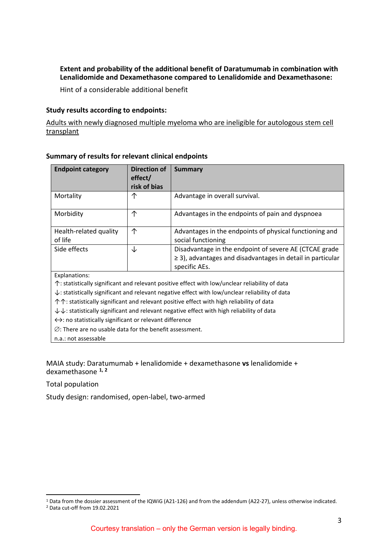## **Extent and probability of the additional benefit of Daratumumab in combination with Lenalidomide and Dexamethasone compared to Lenalidomide and Dexamethasone:**

Hint of a considerable additional benefit

## **Study results according to endpoints:**

Adults with newly diagnosed multiple myeloma who are ineligible for autologous stem cell transplant

| <b>Endpoint category</b>                                                                                                                                                                                                                                                                                                                                                                                                                                                                                                                                                                                                                           | Direction of<br>effect/<br>risk of bias | <b>Summary</b>                                                                                                                             |  |  |  |
|----------------------------------------------------------------------------------------------------------------------------------------------------------------------------------------------------------------------------------------------------------------------------------------------------------------------------------------------------------------------------------------------------------------------------------------------------------------------------------------------------------------------------------------------------------------------------------------------------------------------------------------------------|-----------------------------------------|--------------------------------------------------------------------------------------------------------------------------------------------|--|--|--|
| Mortality                                                                                                                                                                                                                                                                                                                                                                                                                                                                                                                                                                                                                                          | 个                                       | Advantage in overall survival.                                                                                                             |  |  |  |
| Morbidity                                                                                                                                                                                                                                                                                                                                                                                                                                                                                                                                                                                                                                          | 个                                       | Advantages in the endpoints of pain and dyspnoea                                                                                           |  |  |  |
| Health-related quality<br>of life                                                                                                                                                                                                                                                                                                                                                                                                                                                                                                                                                                                                                  | 个                                       | Advantages in the endpoints of physical functioning and<br>social functioning                                                              |  |  |  |
| Side effects                                                                                                                                                                                                                                                                                                                                                                                                                                                                                                                                                                                                                                       | ↓                                       | Disadvantage in the endpoint of severe AE (CTCAE grade<br>$\geq$ 3), advantages and disadvantages in detail in particular<br>specific AEs. |  |  |  |
| Explanations:<br>$\uparrow$ : statistically significant and relevant positive effect with low/unclear reliability of data<br>$\downarrow$ : statistically significant and relevant negative effect with low/unclear reliability of data<br>$\uparrow \uparrow$ : statistically significant and relevant positive effect with high reliability of data<br>$\downarrow \downarrow$ : statistically significant and relevant negative effect with high reliability of data<br>$\leftrightarrow$ : no statistically significant or relevant difference<br>$\varnothing$ : There are no usable data for the benefit assessment.<br>n.a.: not assessable |                                         |                                                                                                                                            |  |  |  |

## **Summary of results for relevant clinical endpoints**

MAIA study: Daratumumab + lenalidomide + dexamethasone **vs** lenalidomide + dexamethasone **[1](#page-2-0), [2](#page-2-1)**

Total population

Study design: randomised, open-label, two-armed

 <sup>1</sup> Data from the dossier assessment of the IQWiG (A21-126) and from the addendum (A22-27), unless otherwise indicated.

<span id="page-2-1"></span><span id="page-2-0"></span><sup>2</sup> Data cut-off from 19.02.2021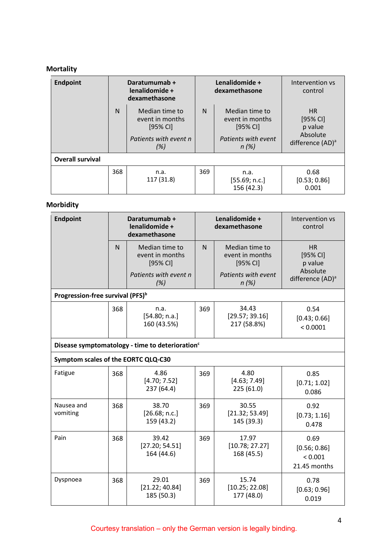# **Mortality**

| <b>Endpoint</b>         |                                                                                                 | Daratumumab +<br>lenalidomide +<br>dexamethasone |              | Lenalidomide +<br>dexamethasone                                                | Intervention vs<br>control                                              |
|-------------------------|-------------------------------------------------------------------------------------------------|--------------------------------------------------|--------------|--------------------------------------------------------------------------------|-------------------------------------------------------------------------|
|                         | $\mathsf{N}$<br>Median time to<br>event in months<br>$[95%$ CI]<br>Patients with event n<br>(%) |                                                  | $\mathsf{N}$ | Median time to<br>event in months<br>$[95%$ CI]<br>Patients with event<br>n(%) | HR<br>$[95%$ CI]<br>p value<br>Absolute<br>difference (AD) <sup>a</sup> |
| <b>Overall survival</b> |                                                                                                 |                                                  |              |                                                                                |                                                                         |
|                         | 368                                                                                             | n.a.<br>117 (31.8)                               | 369          | n.a.<br>[55.69; n.c.]<br>156 (42.3)                                            | 0.68<br>[0.53; 0.86]<br>0.001                                           |

# **Morbidity**

| <b>Endpoint</b>                                             |              | Daratumumab +<br>lenalidomide +<br>dexamethasone |                                               | Lenalidomide +<br>dexamethasone               | Intervention vs<br>control                      |  |
|-------------------------------------------------------------|--------------|--------------------------------------------------|-----------------------------------------------|-----------------------------------------------|-------------------------------------------------|--|
|                                                             | $\mathsf{N}$ | Median time to<br>event in months<br>[95% CI]    | $\mathsf{N}$                                  | Median time to<br>event in months<br>[95% CI] | <b>HR</b><br>$[95%$ CI]<br>p value              |  |
|                                                             |              | Patients with event n<br>(%)                     |                                               | Patients with event<br>n(%)                   | Absolute<br>difference (AD) <sup>a</sup>        |  |
| Progression-free survival (PFS) <sup>b</sup>                |              |                                                  |                                               |                                               |                                                 |  |
|                                                             | 368          | n.a.<br>[54.80; n.a.]<br>160 (43.5%)             | 34.43<br>369<br>[29.57; 39.16]<br>217 (58.8%) |                                               | 0.54<br>[0.43; 0.66]<br>< 0.0001                |  |
| Disease symptomatology - time to deterioration <sup>c</sup> |              |                                                  |                                               |                                               |                                                 |  |
| Symptom scales of the EORTC QLQ-C30                         |              |                                                  |                                               |                                               |                                                 |  |
| Fatigue                                                     | 368          | 4.86<br>[4.70; 7.52]<br>237 (64.4)               | 369                                           | 4.80<br>[4.63; 7.49]<br>225 (61.0)            | 0.85<br>[0.71; 1.02]<br>0.086                   |  |
| Nausea and<br>vomiting                                      | 368          | 38.70<br>[26.68; n.c.]<br>159 (43.2)             | 369                                           | 30.55<br>[21.32; 53.49]<br>145 (39.3)         | 0.92<br>[0.73; 1.16]<br>0.478                   |  |
| Pain                                                        | 368          | 39.42<br>[27.20; 54.51]<br>164 (44.6)            | 369                                           | 17.97<br>[10.78; 27.27]<br>168 (45.5)         | 0.69<br>[0.56; 0.86]<br>< 0.001<br>21.45 months |  |
| Dyspnoea                                                    | 368          | 29.01<br>[21.22; 40.84]<br>185 (50.3)            | 369                                           | 15.74<br>[10.25; 22.08]<br>177 (48.0)         | 0.78<br>[0.63; 0.96]<br>0.019                   |  |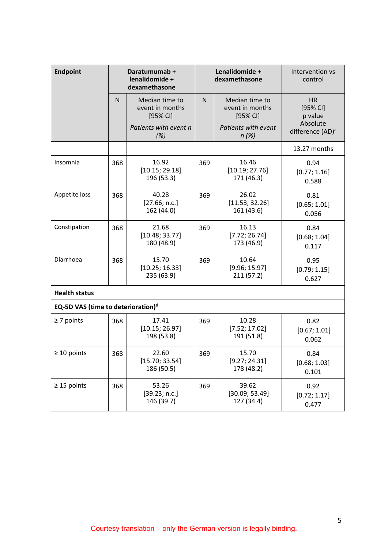| <b>Endpoint</b>                                |     | Daratumumab +<br>lenalidomide +<br>dexamethasone |                                             | Lenalidomide +<br>dexamethasone                 | Intervention vs<br>control               |
|------------------------------------------------|-----|--------------------------------------------------|---------------------------------------------|-------------------------------------------------|------------------------------------------|
|                                                | N   | Median time to<br>event in months<br>[95% CI]    | N                                           | Median time to<br>event in months<br>$[95%$ CI] | <b>HR</b><br>[95% CI]<br>p value         |
|                                                |     | Patients with event n<br>(%)                     |                                             | Patients with event<br>n(%)                     | Absolute<br>difference (AD) <sup>a</sup> |
|                                                |     |                                                  |                                             |                                                 | 13.27 months                             |
| Insomnia                                       | 368 | 16.92<br>[10.15; 29.18]<br>196 (53.3)            | 369                                         | 16.46<br>[10.19; 27.76]<br>171 (46.3)           | 0.94<br>[0.77; 1.16]<br>0.588            |
| Appetite loss                                  | 368 | 40.28<br>[27.66; n.c.]<br>162 (44.0)             | 369                                         | 26.02<br>[11.53; 32.26]<br>161 (43.6)           | 0.81<br>[0.65; 1.01]<br>0.056            |
| Constipation                                   | 368 | 21.68<br>[10.48; 33.77]<br>180 (48.9)            | 369                                         | 16.13<br>[7.72; 26.74]<br>173 (46.9)            | 0.84<br>[0.68; 1.04]<br>0.117            |
| Diarrhoea                                      | 368 | 15.70<br>[10.25; 16.33]<br>235 (63.9)            | 10.64<br>369<br>[9.96; 15.97]<br>211 (57.2) |                                                 | 0.95<br>[0.79; 1.15]<br>0.627            |
| <b>Health status</b>                           |     |                                                  |                                             |                                                 |                                          |
| EQ-5D VAS (time to deterioration) <sup>d</sup> |     |                                                  |                                             |                                                 |                                          |
| $\geq$ 7 points                                | 368 | 17.41<br>[10.15; 26.97]<br>198 (53.8)            | 369                                         | 10.28<br>[7.52; 17.02]<br>191 (51.8)            | 0.82<br>[0.67; 1.01]<br>0.062            |
| $\geq 10$ points                               | 368 | 22.60<br>[15.70; 33.54]<br>186 (50.5)            | 369                                         | 15.70<br>[9.27; 24.31]<br>178 (48.2)            | 0.84<br>[0.68; 1.03]<br>0.101            |
| $\geq$ 15 points                               | 368 | 53.26<br>[39.23; n.c.]<br>146 (39.7)             | 369                                         | 39.62<br>[30.09; 53.49]<br>127 (34.4)           | 0.92<br>[0.72; 1.17]<br>0.477            |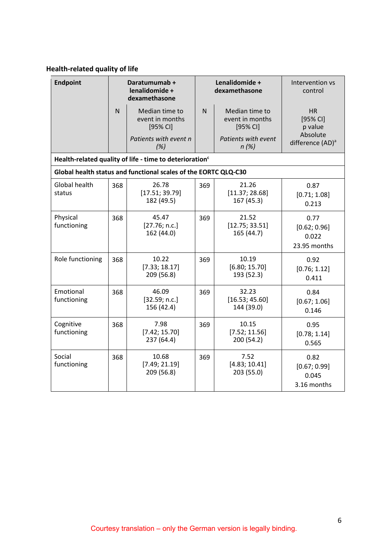# **Health-related quality of life**

| <b>Endpoint</b>          |     | Daratumumab +<br>lenalidomide +<br>dexamethasone                    |     | Lenalidomide +<br>Intervention vs<br>dexamethasone<br>control |                                               |
|--------------------------|-----|---------------------------------------------------------------------|-----|---------------------------------------------------------------|-----------------------------------------------|
|                          | N   | Median time to<br>event in months<br>$[95%$ CI]                     | N   | Median time to<br>event in months<br>$[95%$ CI]               | <b>HR</b><br>[95% CI]<br>p value              |
|                          |     | Patients with event n<br>(%)                                        |     | Patients with event<br>$n(\%)$                                | Absolute<br>difference (AD) <sup>a</sup>      |
|                          |     | Health-related quality of life - time to deterioration <sup>c</sup> |     |                                                               |                                               |
|                          |     | Global health status and functional scales of the EORTC QLQ-C30     |     |                                                               |                                               |
| Global health<br>status  | 368 | 26.78<br>[17.51; 39.79]<br>182 (49.5)                               | 369 | 21.26<br>[11.37; 28.68]<br>167 (45.3)                         | 0.87<br>[0.71; 1.08]<br>0.213                 |
| Physical<br>functioning  | 368 | 45.47<br>[27.76; n.c.]<br>162 (44.0)                                | 369 | 21.52<br>[12.75; 33.51]<br>165 (44.7)                         | 0.77<br>[0.62; 0.96]<br>0.022<br>23.95 months |
| Role functioning         | 368 | 10.22<br>[7.33; 18.17]<br>209 (56.8)                                | 369 | 10.19<br>[6.80; 15.70]<br>193 (52.3)                          | 0.92<br>[0.76; 1.12]<br>0.411                 |
| Emotional<br>functioning | 368 | 46.09<br>[32.59; n.c.]<br>156 (42.4)                                | 369 | 32.23<br>[16.53; 45.60]<br>144 (39.0)                         | 0.84<br>[0.67; 1.06]<br>0.146                 |
| Cognitive<br>functioning | 368 | 7.98<br>[7.42; 15.70]<br>237 (64.4)                                 | 369 | 10.15<br>[7.52; 11.56]<br>200 (54.2)                          | 0.95<br>[0.78; 1.14]<br>0.565                 |
| Social<br>functioning    | 368 | 10.68<br>[7.49; 21.19]<br>209 (56.8)                                | 369 | 7.52<br>[4.83; 10.41]<br>203 (55.0)                           | 0.82<br>[0.67; 0.99]<br>0.045<br>3.16 months  |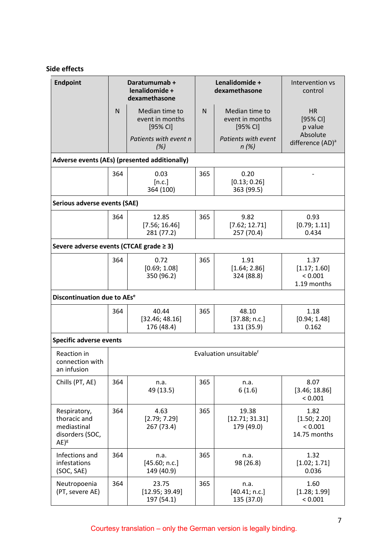# **Side effects**

| <b>Endpoint</b>                                                           |     | Daratumumab +<br>lenalidomide +<br>dexamethasone |                                             | Lenalidomide +<br>dexamethasone                 | Intervention vs<br>control                      |
|---------------------------------------------------------------------------|-----|--------------------------------------------------|---------------------------------------------|-------------------------------------------------|-------------------------------------------------|
|                                                                           | N   | Median time to<br>event in months<br>$[95%$ CI]  | N                                           | Median time to<br>event in months<br>$[95%$ CI] | HR<br>[95% CI]<br>p value                       |
|                                                                           |     | Patients with event n<br>(%)                     |                                             | Patients with event<br>$n(\%)$                  | Absolute<br>difference (AD) <sup>a</sup>        |
|                                                                           |     | Adverse events (AEs) (presented additionally)    |                                             |                                                 |                                                 |
|                                                                           | 364 | 0.03<br>[n.c.]<br>364 (100)                      | 365                                         | 0.20<br>[0.13; 0.26]<br>363 (99.5)              |                                                 |
| Serious adverse events (SAE)                                              |     |                                                  |                                             |                                                 |                                                 |
|                                                                           | 364 | 12.85<br>[7.56; 16.46]<br>281 (77.2)             | 365                                         | 9.82<br>[7.62; 12.71]<br>257 (70.4)             | 0.93<br>[0.79; 1.11]<br>0.434                   |
| Severe adverse events (CTCAE grade $\geq$ 3)                              |     |                                                  |                                             |                                                 |                                                 |
|                                                                           | 364 | 0.72<br>[0.69; 1.08]<br>350 (96.2)               | 365<br>1.91<br>[1.64; 2.86]<br>324 (88.8)   |                                                 | 1.37<br>[1.17; 1.60]<br>< 0.001<br>1.19 months  |
| Discontinuation due to AEs <sup>e</sup>                                   |     |                                                  |                                             |                                                 |                                                 |
|                                                                           | 364 | 40.44<br>[32.46; 48.16]<br>176 (48.4)            | 48.10<br>365<br>[37.88; n.c.]<br>131 (35.9) |                                                 | 1.18<br>[0.94; 1.48]<br>0.162                   |
| <b>Specific adverse events</b>                                            |     |                                                  |                                             |                                                 |                                                 |
| Reaction in<br>connection with<br>an infusion                             |     |                                                  |                                             | Evaluation unsuitable <sup>f</sup>              |                                                 |
| Chills (PT, AE)                                                           | 364 | n.a.<br>49 (13.5)                                | 365                                         | n.a.<br>6(1.6)                                  | 8.07<br>[3.46; 18.86]<br>< 0.001                |
| Respiratory,<br>thoracic and<br>mediastinal<br>disorders (SOC,<br>$AE)^g$ | 364 | 4.63<br>[2.79; 7.29]<br>267 (73.4)               | 365                                         | 19.38<br>[12.71; 31.31]<br>179 (49.0)           | 1.82<br>[1.50; 2.20]<br>< 0.001<br>14.75 months |
| Infections and<br>infestations<br>(SOC, SAE)                              | 364 | n.a.<br>[45.60; n.c.]<br>149 (40.9)              | 365                                         | n.a.<br>98 (26.8)                               | 1.32<br>[1.02; 1.71]<br>0.036                   |
| Neutropoenia<br>(PT, severe AE)                                           | 364 | 23.75<br>[12.95; 39.49]<br>197 (54.1)            | 365                                         | n.a.<br>[40.41; n.c.]<br>135 (37.0)             | 1.60<br>[1.28; 1.99]<br>< 0.001                 |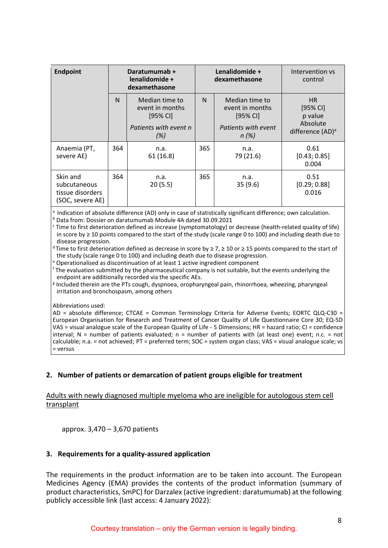| <b>Endpoint</b>                                                  | Daratumumab +<br>lenalidomide +<br>dexamethasone |                                                                                 |     | Lenalidomide +<br>dexamethasone                                                   | Intervention vs<br>control                                               |
|------------------------------------------------------------------|--------------------------------------------------|---------------------------------------------------------------------------------|-----|-----------------------------------------------------------------------------------|--------------------------------------------------------------------------|
|                                                                  | N                                                | Median time to<br>event in months<br>$[95%$ CI]<br>Patients with event n<br>(%) | N   | Median time to<br>event in months<br>$[95%$ CI]<br>Patients with event<br>$n$ (%) | HR.<br>$[95%$ CI]<br>p value<br>Absolute<br>difference (AD) <sup>a</sup> |
| Anaemia (PT,<br>severe AE)                                       | 364                                              | n.a.<br>61(16.8)                                                                | 365 | n.a.<br>79 (21.6)                                                                 | 0.61<br>[0.43; 0.85]<br>0.004                                            |
| Skin and<br>subcutaneous<br>tissue disorders<br>(SOC, severe AE) | 364                                              | n.a.<br>20(5.5)                                                                 | 365 | n.a.<br>35(9.6)                                                                   | 0.51<br>[0.29; 0.88]<br>0.016                                            |

<sup>a</sup> Indication of absolute difference (AD) only in case of statistically significant difference; own calculation. <sup>b</sup> Data from: Dossier on daratumumab Module 4A dated 30.09.2021

 $c$  Time to first deterioration defined as increase (symptomatology) or decrease (health-related quality of life) in score by ≥ 10 points compared to the start of the study (scale range 0 to 100) and including death due to disease progression.

<sup>d</sup> Time to first deterioration defined as decrease in score by ≥ 7, ≥ 10 or ≥ 15 points compared to the start of the study (scale range 0 to 100) and including death due to disease progression.

<sup>e</sup> Operationalised as discontinuation of at least 1 active ingredient component

<sup>f</sup> The evaluation submitted by the pharmaceutical company is not suitable, but the events underlying the endpoint are additionally recorded via the specific AEs.

<sup>g</sup> Included therein are the PTs cough, dyspnoea, oropharyngeal pain, rhinorrhoea, wheezing, pharyngeal irritation and bronchospasm, among others

Abbreviations used:

AD = absolute difference; CTCAE = Common Terminology Criteria for Adverse Events; EORTC QLQ-C30 = European Organisation for Research and Treatment of Cancer Quality of Life Questionnaire Core 30; EQ-5D VAS = visual analogue scale of the European Quality of Life - 5 Dimensions; HR = hazard ratio; CI = confidence interval;  $N =$  number of patients evaluated;  $n =$  number of patients with (at least one) event; n.c. = not calculable; n.a. = not achieved; PT = preferred term; SOC = system organ class; VAS = visual analogue scale; vs = versus

## **2. Number of patients or demarcation of patient groups eligible for treatment**

## Adults with newly diagnosed multiple myeloma who are ineligible for autologous stem cell transplant

approx. 3,470 – 3,670 patients

## **3. Requirements for a quality-assured application**

The requirements in the product information are to be taken into account. The European Medicines Agency (EMA) provides the contents of the product information (summary of product characteristics, SmPC) for Darzalex (active ingredient: daratumumab) at the following publicly accessible link (last access: 4 January 2022):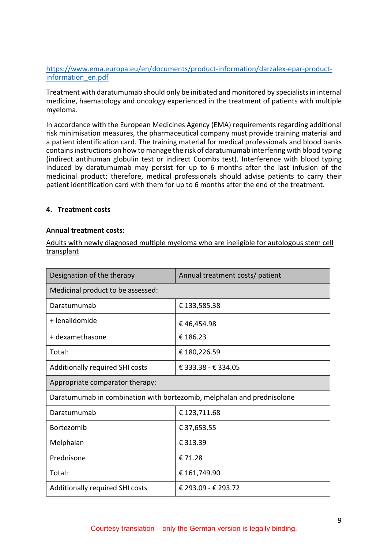[https://www.ema.europa.eu/en/documents/product-information/darzalex-epar-product](https://www.ema.europa.eu/en/documents/product-information/darzalex-epar-product-information_en.pdf)[information\\_en.pdf](https://www.ema.europa.eu/en/documents/product-information/darzalex-epar-product-information_en.pdf)

Treatment with daratumumab should only be initiated and monitored by specialists in internal medicine, haematology and oncology experienced in the treatment of patients with multiple myeloma.

In accordance with the European Medicines Agency (EMA) requirements regarding additional risk minimisation measures, the pharmaceutical company must provide training material and a patient identification card. The training material for medical professionals and blood banks contains instructions on how to manage the risk of daratumumab interfering with blood typing (indirect antihuman globulin test or indirect Coombs test). Interference with blood typing induced by daratumumab may persist for up to 6 months after the last infusion of the medicinal product; therefore, medical professionals should advise patients to carry their patient identification card with them for up to 6 months after the end of the treatment.

## **4. Treatment costs**

#### **Annual treatment costs:**

Adults with newly diagnosed multiple myeloma who are ineligible for autologous stem cell transplant

| Designation of the therapy                                             | Annual treatment costs/ patient |  |  |  |
|------------------------------------------------------------------------|---------------------------------|--|--|--|
| Medicinal product to be assessed:                                      |                                 |  |  |  |
| Daratumumab                                                            | € 133,585.38                    |  |  |  |
| + lenalidomide                                                         | €46,454.98                      |  |  |  |
| + dexamethasone                                                        | € 186.23                        |  |  |  |
| Total:                                                                 | € 180,226.59                    |  |  |  |
| Additionally required SHI costs                                        | € 333.38 - € 334.05             |  |  |  |
| Appropriate comparator therapy:                                        |                                 |  |  |  |
| Daratumumab in combination with bortezomib, melphalan and prednisolone |                                 |  |  |  |
| Daratumumab                                                            | € 123,711.68                    |  |  |  |
| Bortezomib                                                             | € 37,653.55                     |  |  |  |
| Melphalan                                                              | € 313.39                        |  |  |  |
| Prednisone                                                             | €71.28                          |  |  |  |
| Total:                                                                 | € 161,749.90                    |  |  |  |
| Additionally required SHI costs                                        | € 293.09 - € 293.72             |  |  |  |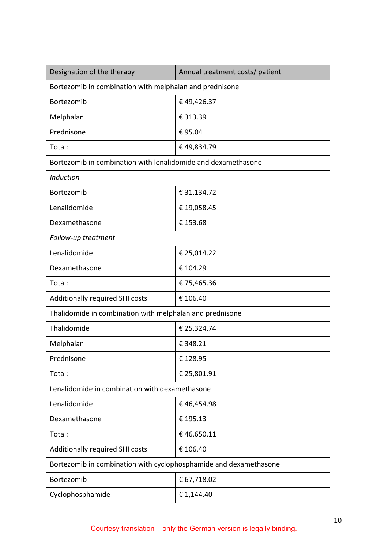| Designation of the therapy                                        | Annual treatment costs/ patient |
|-------------------------------------------------------------------|---------------------------------|
| Bortezomib in combination with melphalan and prednisone           |                                 |
| Bortezomib                                                        | €49,426.37                      |
| Melphalan                                                         | € 313.39                        |
| Prednisone                                                        | €95.04                          |
| Total:                                                            | €49,834.79                      |
| Bortezomib in combination with lenalidomide and dexamethasone     |                                 |
| Induction                                                         |                                 |
| Bortezomib                                                        | € 31,134.72                     |
| Lenalidomide                                                      | €19,058.45                      |
| Dexamethasone                                                     | € 153.68                        |
| Follow-up treatment                                               |                                 |
| Lenalidomide                                                      | € 25,014.22                     |
| Dexamethasone                                                     | € 104.29                        |
| Total:                                                            | €75,465.36                      |
| Additionally required SHI costs                                   | € 106.40                        |
| Thalidomide in combination with melphalan and prednisone          |                                 |
| Thalidomide                                                       | € 25,324.74                     |
| Melphalan                                                         | € 348.21                        |
| Prednisone                                                        | €128.95                         |
| Total:                                                            | € 25,801.91                     |
| Lenalidomide in combination with dexamethasone                    |                                 |
| Lenalidomide                                                      | €46,454.98                      |
| Dexamethasone                                                     | €195.13                         |
| Total:                                                            | €46,650.11                      |
| Additionally required SHI costs                                   | € 106.40                        |
| Bortezomib in combination with cyclophosphamide and dexamethasone |                                 |
| Bortezomib                                                        | € 67,718.02                     |
| Cyclophosphamide                                                  | € 1,144.40                      |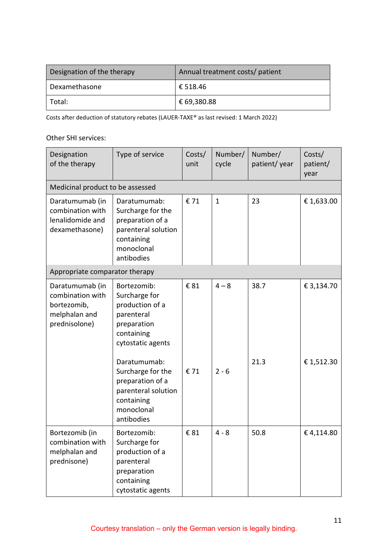| Designation of the therapy | Annual treatment costs/ patient |
|----------------------------|---------------------------------|
| Dexamethasone              | € 518.46                        |
| ' Total:                   | € 69,380.88                     |

Costs after deduction of statutory rebates (LAUER-TAXE® as last revised: 1 March 2022)

## Other SHI services:

| Designation<br>of the therapy                                                        | Type of service                                                                                                                                                                                                                           | Costs/<br>unit | Number/<br>cycle   | Number/<br>patient/year | Costs/<br>patient/<br>year |
|--------------------------------------------------------------------------------------|-------------------------------------------------------------------------------------------------------------------------------------------------------------------------------------------------------------------------------------------|----------------|--------------------|-------------------------|----------------------------|
| Medicinal product to be assessed                                                     |                                                                                                                                                                                                                                           |                |                    |                         |                            |
| Daratumumab (in<br>combination with<br>lenalidomide and<br>dexamethasone)            | Daratumumab:<br>Surcharge for the<br>preparation of a<br>parenteral solution<br>containing<br>monoclonal<br>antibodies                                                                                                                    | € 71           | $\mathbf{1}$       | 23                      | € 1,633.00                 |
| Appropriate comparator therapy                                                       |                                                                                                                                                                                                                                           |                |                    |                         |                            |
| Daratumumab (in<br>combination with<br>bortezomib,<br>melphalan and<br>prednisolone) | Bortezomib:<br>Surcharge for<br>production of a<br>parenteral<br>preparation<br>containing<br>cytostatic agents<br>Daratumumab:<br>Surcharge for the<br>preparation of a<br>parenteral solution<br>containing<br>monoclonal<br>antibodies | € 81<br>€ 71   | $4 - 8$<br>$2 - 6$ | 38.7<br>21.3            | € 3,134.70<br>€1,512.30    |
| Bortezomib (in<br>combination with<br>melphalan and<br>prednisone)                   | Bortezomib:<br>Surcharge for<br>production of a<br>parenteral<br>preparation<br>containing<br>cytostatic agents                                                                                                                           | € 81           | $4 - 8$            | 50.8                    | €4,114.80                  |